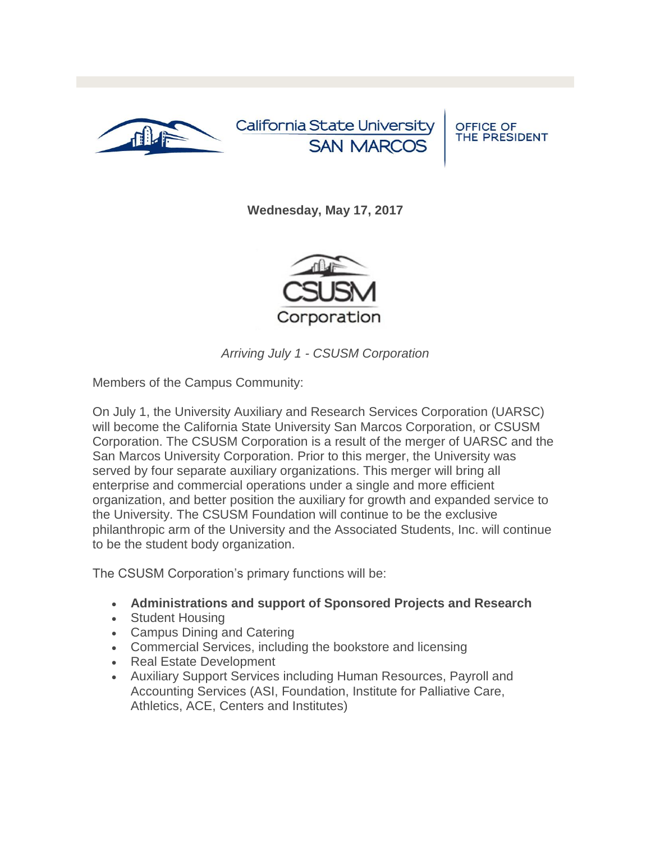

California State University **SAN MARCOS** 

**OFFICE OF** THE PRESIDENT

**Wednesday, May 17, 2017**



*Arriving July 1 - CSUSM Corporation*

Members of the Campus Community:

On July 1, the University Auxiliary and Research Services Corporation (UARSC) will become the California State University San Marcos Corporation, or CSUSM Corporation. The CSUSM Corporation is a result of the merger of UARSC and the San Marcos University Corporation. Prior to this merger, the University was served by four separate auxiliary organizations. This merger will bring all enterprise and commercial operations under a single and more efficient organization, and better position the auxiliary for growth and expanded service to the University. The CSUSM Foundation will continue to be the exclusive philanthropic arm of the University and the Associated Students, Inc. will continue to be the student body organization.

The CSUSM Corporation's primary functions will be:

- **Administrations and support of Sponsored Projects and Research**
- Student Housing
- Campus Dining and Catering
- Commercial Services, including the bookstore and licensing
- Real Estate Development
- Auxiliary Support Services including Human Resources, Payroll and Accounting Services (ASI, Foundation, Institute for Palliative Care, Athletics, ACE, Centers and Institutes)